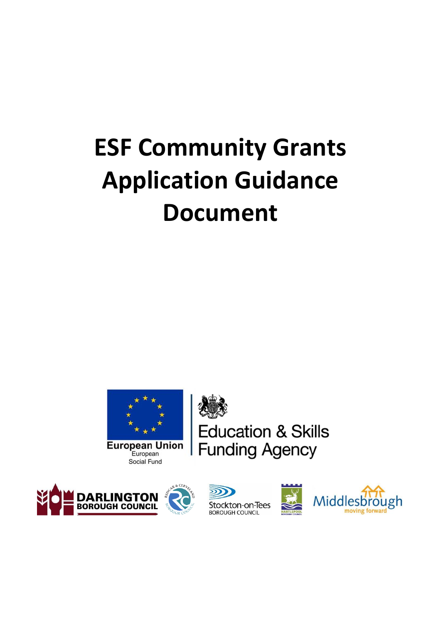# **ESF Community Grants Application Guidance Document**



**Education & Skills Funding Agency** 





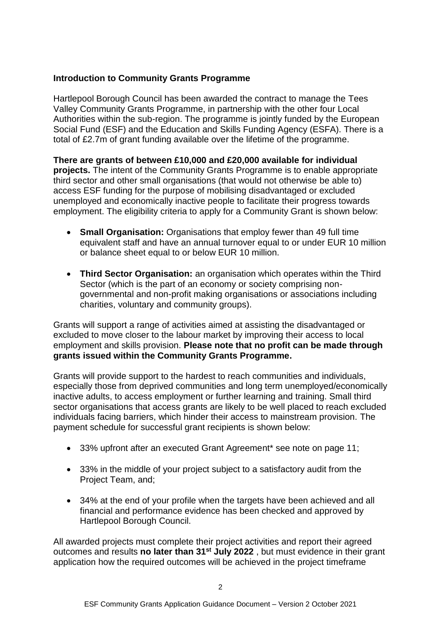# **Introduction to Community Grants Programme**

Hartlepool Borough Council has been awarded the contract to manage the Tees Valley Community Grants Programme, in partnership with the other four Local Authorities within the sub-region. The programme is jointly funded by the European Social Fund (ESF) and the Education and Skills Funding Agency (ESFA). There is a total of £2.7m of grant funding available over the lifetime of the programme.

**There are grants of between £10,000 and £20,000 available for individual projects.** The intent of the Community Grants Programme is to enable appropriate third sector and other small organisations (that would not otherwise be able to) access ESF funding for the purpose of mobilising disadvantaged or excluded unemployed and economically inactive people to facilitate their progress towards employment. The eligibility criteria to apply for a Community Grant is shown below:

- **Small Organisation:** Organisations that employ fewer than 49 full time equivalent staff and have an annual turnover equal to or under EUR 10 million or balance sheet equal to or below EUR 10 million.
- **Third Sector Organisation:** an organisation which operates within the Third Sector (which is the part of an economy or society comprising nongovernmental and non-profit making organisations or associations including charities, voluntary and community groups).

Grants will support a range of activities aimed at assisting the disadvantaged or excluded to move closer to the labour market by improving their access to local employment and skills provision. **Please note that no profit can be made through grants issued within the Community Grants Programme.**

Grants will provide support to the hardest to reach communities and individuals, especially those from deprived communities and long term unemployed/economically inactive adults, to access employment or further learning and training. Small third sector organisations that access grants are likely to be well placed to reach excluded individuals facing barriers, which hinder their access to mainstream provision. The payment schedule for successful grant recipients is shown below:

- 33% upfront after an executed Grant Agreement\* see note on page 11;
- 33% in the middle of your project subject to a satisfactory audit from the Project Team, and;
- 34% at the end of your profile when the targets have been achieved and all financial and performance evidence has been checked and approved by Hartlepool Borough Council.

All awarded projects must complete their project activities and report their agreed outcomes and results **no later than 31st July 2022** , but must evidence in their grant application how the required outcomes will be achieved in the project timeframe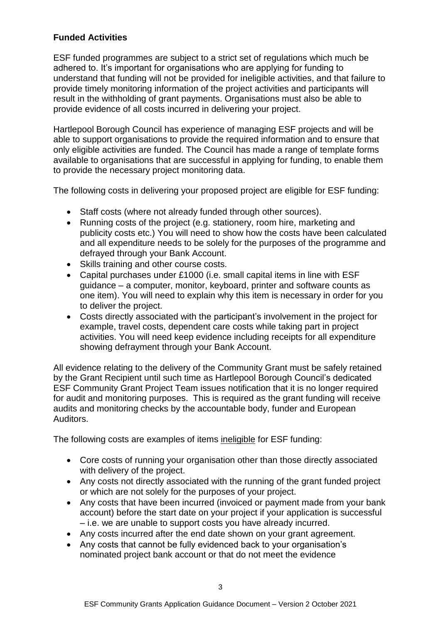# **Funded Activities**

ESF funded programmes are subject to a strict set of regulations which much be adhered to. It's important for organisations who are applying for funding to understand that funding will not be provided for ineligible activities, and that failure to provide timely monitoring information of the project activities and participants will result in the withholding of grant payments. Organisations must also be able to provide evidence of all costs incurred in delivering your project.

Hartlepool Borough Council has experience of managing ESF projects and will be able to support organisations to provide the required information and to ensure that only eligible activities are funded. The Council has made a range of template forms available to organisations that are successful in applying for funding, to enable them to provide the necessary project monitoring data.

The following costs in delivering your proposed project are eligible for ESF funding:

- Staff costs (where not already funded through other sources).
- Running costs of the project (e.g. stationery, room hire, marketing and publicity costs etc.) You will need to show how the costs have been calculated and all expenditure needs to be solely for the purposes of the programme and defrayed through your Bank Account.
- Skills training and other course costs.
- Capital purchases under £1000 (i.e. small capital items in line with ESF guidance – a computer, monitor, keyboard, printer and software counts as one item). You will need to explain why this item is necessary in order for you to deliver the project.
- Costs directly associated with the participant's involvement in the project for example, travel costs, dependent care costs while taking part in project activities. You will need keep evidence including receipts for all expenditure showing defrayment through your Bank Account.

All evidence relating to the delivery of the Community Grant must be safely retained by the Grant Recipient until such time as Hartlepool Borough Council's dedicated ESF Community Grant Project Team issues notification that it is no longer required for audit and monitoring purposes. This is required as the grant funding will receive audits and monitoring checks by the accountable body, funder and European Auditors.

The following costs are examples of items ineligible for ESF funding:

- Core costs of running your organisation other than those directly associated with delivery of the project.
- Any costs not directly associated with the running of the grant funded project or which are not solely for the purposes of your project.
- Any costs that have been incurred (invoiced or payment made from your bank account) before the start date on your project if your application is successful – i.e. we are unable to support costs you have already incurred.
- Any costs incurred after the end date shown on your grant agreement.
- Any costs that cannot be fully evidenced back to your organisation's nominated project bank account or that do not meet the evidence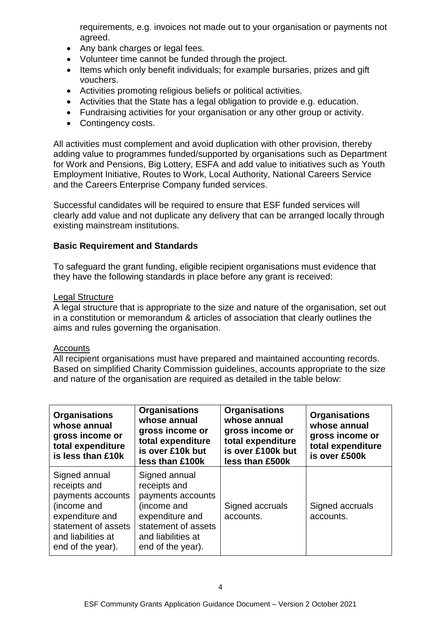requirements, e.g. invoices not made out to your organisation or payments not agreed.

- Any bank charges or legal fees.
- Volunteer time cannot be funded through the project.
- Items which only benefit individuals; for example bursaries, prizes and gift vouchers.
- Activities promoting religious beliefs or political activities.
- Activities that the State has a legal obligation to provide e.g. education.
- Fundraising activities for your organisation or any other group or activity.
- Contingency costs.

All activities must complement and avoid duplication with other provision, thereby adding value to programmes funded/supported by organisations such as Department for Work and Pensions, Big Lottery, ESFA and add value to initiatives such as Youth Employment Initiative, Routes to Work, Local Authority, National Careers Service and the Careers Enterprise Company funded services.

Successful candidates will be required to ensure that ESF funded services will clearly add value and not duplicate any delivery that can be arranged locally through existing mainstream institutions.

# **Basic Requirement and Standards**

To safeguard the grant funding, eligible recipient organisations must evidence that they have the following standards in place before any grant is received:

# Legal Structure

A legal structure that is appropriate to the size and nature of the organisation, set out in a constitution or memorandum & articles of association that clearly outlines the aims and rules governing the organisation.

#### Accounts

All recipient organisations must have prepared and maintained accounting records. Based on simplified Charity Commission guidelines, accounts appropriate to the size and nature of the organisation are required as detailed in the table below:

| <b>Organisations</b><br>whose annual<br>gross income or<br>total expenditure<br>is less than £10k                                                      | <b>Organisations</b><br>whose annual<br>gross income or<br>total expenditure<br>is over £10k but<br>less than £100k                                    | <b>Organisations</b><br>whose annual<br>gross income or<br>total expenditure<br>is over £100k but<br>less than £500k | <b>Organisations</b><br>whose annual<br>gross income or<br>total expenditure<br>is over £500k |
|--------------------------------------------------------------------------------------------------------------------------------------------------------|--------------------------------------------------------------------------------------------------------------------------------------------------------|----------------------------------------------------------------------------------------------------------------------|-----------------------------------------------------------------------------------------------|
| Signed annual<br>receipts and<br>payments accounts<br>(income and<br>expenditure and<br>statement of assets<br>and liabilities at<br>end of the year). | Signed annual<br>receipts and<br>payments accounts<br>(income and<br>expenditure and<br>statement of assets<br>and liabilities at<br>end of the year). | Signed accruals<br>accounts.                                                                                         | Signed accruals<br>accounts.                                                                  |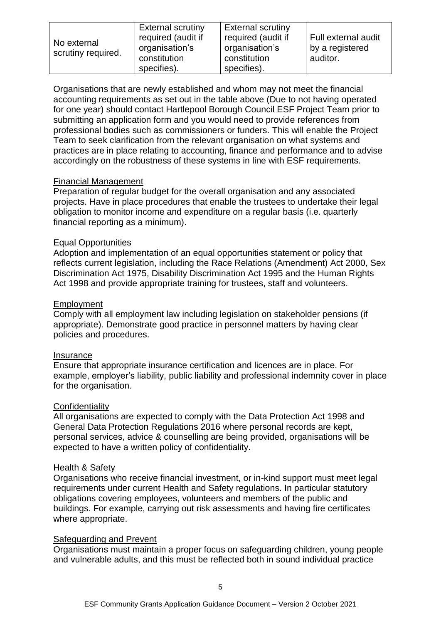| No external<br>scrutiny required. | <b>External scrutiny</b> | <b>External scrutiny</b> |                     |
|-----------------------------------|--------------------------|--------------------------|---------------------|
|                                   | required (audit if       | required (audit if       | Full external audit |
|                                   | organisation's           | organisation's           | by a registered     |
|                                   | constitution             | constitution             | auditor.            |
|                                   | specifies).              | specifies).              |                     |

Organisations that are newly established and whom may not meet the financial accounting requirements as set out in the table above (Due to not having operated for one year) should contact Hartlepool Borough Council ESF Project Team prior to submitting an application form and you would need to provide references from professional bodies such as commissioners or funders. This will enable the Project Team to seek clarification from the relevant organisation on what systems and practices are in place relating to accounting, finance and performance and to advise accordingly on the robustness of these systems in line with ESF requirements.

#### Financial Management

Preparation of regular budget for the overall organisation and any associated projects. Have in place procedures that enable the trustees to undertake their legal obligation to monitor income and expenditure on a regular basis (i.e. quarterly financial reporting as a minimum).

#### Equal Opportunities

Adoption and implementation of an equal opportunities statement or policy that reflects current legislation, including the Race Relations (Amendment) Act 2000, Sex Discrimination Act 1975, Disability Discrimination Act 1995 and the Human Rights Act 1998 and provide appropriate training for trustees, staff and volunteers.

#### Employment

Comply with all employment law including legislation on stakeholder pensions (if appropriate). Demonstrate good practice in personnel matters by having clear policies and procedures.

#### **Insurance**

Ensure that appropriate insurance certification and licences are in place. For example, employer's liability, public liability and professional indemnity cover in place for the organisation.

#### **Confidentiality**

All organisations are expected to comply with the Data Protection Act 1998 and General Data Protection Regulations 2016 where personal records are kept, personal services, advice & counselling are being provided, organisations will be expected to have a written policy of confidentiality.

#### Health & Safety

Organisations who receive financial investment, or in-kind support must meet legal requirements under current Health and Safety regulations. In particular statutory obligations covering employees, volunteers and members of the public and buildings. For example, carrying out risk assessments and having fire certificates where appropriate.

#### Safeguarding and Prevent

Organisations must maintain a proper focus on safeguarding children, young people and vulnerable adults, and this must be reflected both in sound individual practice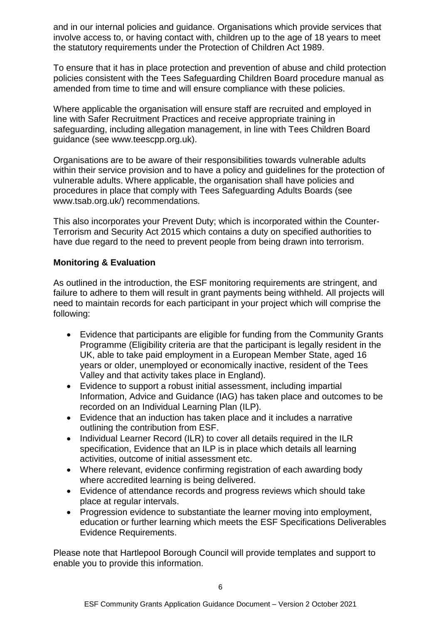and in our internal policies and guidance. Organisations which provide services that involve access to, or having contact with, children up to the age of 18 years to meet the statutory requirements under the Protection of Children Act 1989.

To ensure that it has in place protection and prevention of abuse and child protection policies consistent with the Tees Safeguarding Children Board procedure manual as amended from time to time and will ensure compliance with these policies.

Where applicable the organisation will ensure staff are recruited and employed in line with Safer Recruitment Practices and receive appropriate training in safeguarding, including allegation management, in line with Tees Children Board guidance (see www.teescpp.org.uk).

Organisations are to be aware of their responsibilities towards vulnerable adults within their service provision and to have a policy and guidelines for the protection of vulnerable adults. Where applicable, the organisation shall have policies and procedures in place that comply with Tees Safeguarding Adults Boards (see www.tsab.org.uk/) recommendations.

This also incorporates your Prevent Duty; which is incorporated within the Counter-Terrorism and Security Act 2015 which contains a duty on specified authorities to have due regard to the need to prevent people from being drawn into terrorism.

# **Monitoring & Evaluation**

As outlined in the introduction, the ESF monitoring requirements are stringent, and failure to adhere to them will result in grant payments being withheld. All projects will need to maintain records for each participant in your project which will comprise the following:

- Evidence that participants are eligible for funding from the Community Grants Programme (Eligibility criteria are that the participant is legally resident in the UK, able to take paid employment in a European Member State, aged 16 years or older, unemployed or economically inactive, resident of the Tees Valley and that activity takes place in England).
- Evidence to support a robust initial assessment, including impartial Information, Advice and Guidance (IAG) has taken place and outcomes to be recorded on an Individual Learning Plan (ILP).
- Evidence that an induction has taken place and it includes a narrative outlining the contribution from ESF.
- Individual Learner Record (ILR) to cover all details required in the ILR specification, Evidence that an ILP is in place which details all learning activities, outcome of initial assessment etc.
- Where relevant, evidence confirming registration of each awarding body where accredited learning is being delivered.
- Evidence of attendance records and progress reviews which should take place at regular intervals.
- Progression evidence to substantiate the learner moving into employment, education or further learning which meets the ESF Specifications Deliverables Evidence Requirements.

Please note that Hartlepool Borough Council will provide templates and support to enable you to provide this information.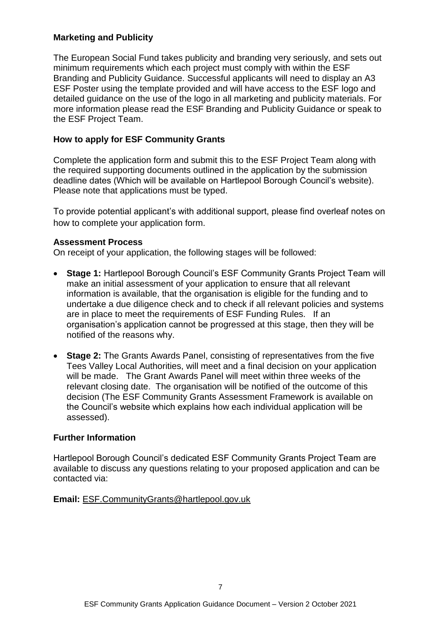#### **Marketing and Publicity**

The European Social Fund takes publicity and branding very seriously, and sets out minimum requirements which each project must comply with within the ESF Branding and Publicity Guidance. Successful applicants will need to display an A3 ESF Poster using the template provided and will have access to the ESF logo and detailed guidance on the use of the logo in all marketing and publicity materials. For more information please read the ESF Branding and Publicity Guidance or speak to the ESF Project Team.

# **How to apply for ESF Community Grants**

Complete the application form and submit this to the ESF Project Team along with the required supporting documents outlined in the application by the submission deadline dates (Which will be available on Hartlepool Borough Council's website). Please note that applications must be typed.

To provide potential applicant's with additional support, please find overleaf notes on how to complete your application form.

#### **Assessment Process**

On receipt of your application, the following stages will be followed:

- **Stage 1:** Hartlepool Borough Council's ESF Community Grants Project Team will make an initial assessment of your application to ensure that all relevant information is available, that the organisation is eligible for the funding and to undertake a due diligence check and to check if all relevant policies and systems are in place to meet the requirements of ESF Funding Rules. If an organisation's application cannot be progressed at this stage, then they will be notified of the reasons why.
- **Stage 2:** The Grants Awards Panel, consisting of representatives from the five Tees Valley Local Authorities, will meet and a final decision on your application will be made. The Grant Awards Panel will meet within three weeks of the relevant closing date. The organisation will be notified of the outcome of this decision (The ESF Community Grants Assessment Framework is available on the Council's website which explains how each individual application will be assessed).

#### **Further Information**

Hartlepool Borough Council's dedicated ESF Community Grants Project Team are available to discuss any questions relating to your proposed application and can be contacted via:

#### **Email:** [ESF.CommunityGrants@hartlepool.gov.uk](mailto:ESF.CommunityGrants@hartlepool.gov.uk)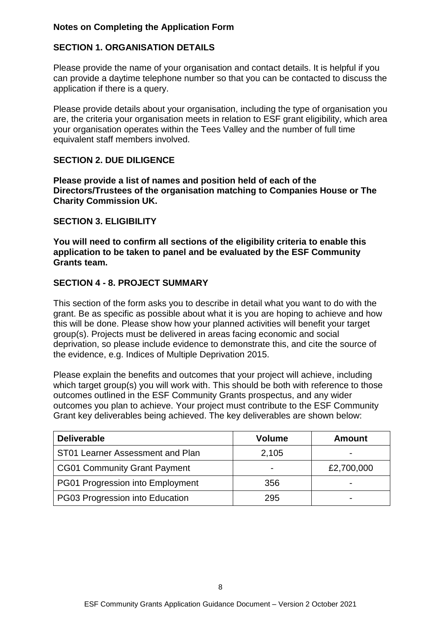# **Notes on Completing the Application Form**

# **SECTION 1. ORGANISATION DETAILS**

Please provide the name of your organisation and contact details. It is helpful if you can provide a daytime telephone number so that you can be contacted to discuss the application if there is a query.

Please provide details about your organisation, including the type of organisation you are, the criteria your organisation meets in relation to ESF grant eligibility, which area your organisation operates within the Tees Valley and the number of full time equivalent staff members involved.

#### **SECTION 2. DUE DILIGENCE**

**Please provide a list of names and position held of each of the Directors/Trustees of the organisation matching to Companies House or The Charity Commission UK.** 

#### **SECTION 3. ELIGIBILITY**

**You will need to confirm all sections of the eligibility criteria to enable this application to be taken to panel and be evaluated by the ESF Community Grants team.**

#### **SECTION 4 - 8. PROJECT SUMMARY**

This section of the form asks you to describe in detail what you want to do with the grant. Be as specific as possible about what it is you are hoping to achieve and how this will be done. Please show how your planned activities will benefit your target group(s). Projects must be delivered in areas facing economic and social deprivation, so please include evidence to demonstrate this, and cite the source of the evidence, e.g. Indices of Multiple Deprivation 2015.

Please explain the benefits and outcomes that your project will achieve, including which target group(s) you will work with. This should be both with reference to those outcomes outlined in the ESF Community Grants prospectus, and any wider outcomes you plan to achieve. Your project must contribute to the ESF Community Grant key deliverables being achieved. The key deliverables are shown below:

| <b>Deliverable</b>                  | <b>Volume</b> | Amount     |
|-------------------------------------|---------------|------------|
| ST01 Learner Assessment and Plan    | 2,105         |            |
| <b>CG01 Community Grant Payment</b> |               | £2,700,000 |
| PG01 Progression into Employment    | 356           |            |
| PG03 Progression into Education     | 295           |            |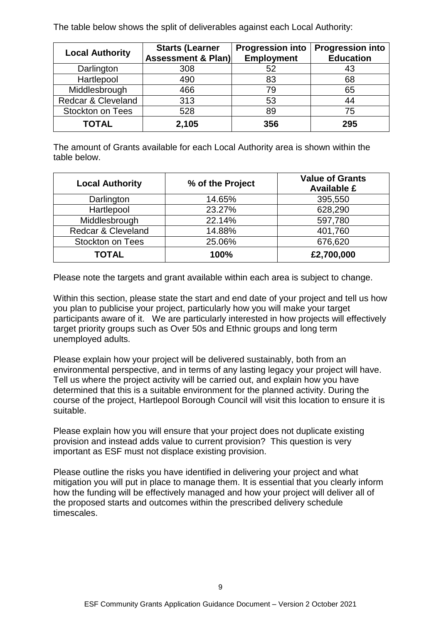The table below shows the split of deliverables against each Local Authority:

| <b>Local Authority</b>        | <b>Starts (Learner</b><br><b>Assessment &amp; Plan)</b> | <b>Progression into</b><br><b>Employment</b> | <b>Progression into</b><br><b>Education</b> |
|-------------------------------|---------------------------------------------------------|----------------------------------------------|---------------------------------------------|
| Darlington                    | 308                                                     | 52                                           | 43                                          |
| Hartlepool                    | 490                                                     | 83                                           | 68                                          |
| Middlesbrough                 | 466                                                     | 79                                           | 65                                          |
| <b>Redcar &amp; Cleveland</b> | 313                                                     | 53                                           | 44                                          |
| <b>Stockton on Tees</b>       | 528                                                     | 89                                           | 75                                          |
| <b>TOTAL</b>                  | 2,105                                                   | 356                                          | 295                                         |

The amount of Grants available for each Local Authority area is shown within the table below.

| <b>Local Authority</b>  | % of the Project | <b>Value of Grants</b><br><b>Available £</b> |
|-------------------------|------------------|----------------------------------------------|
| Darlington              | 14.65%           | 395,550                                      |
| Hartlepool              | 23.27%           | 628,290                                      |
| Middlesbrough           | 22.14%           | 597,780                                      |
| Redcar & Cleveland      | 14.88%           | 401,760                                      |
| <b>Stockton on Tees</b> | 25.06%           | 676,620                                      |
| <b>TOTAL</b>            | 100%             | £2,700,000                                   |

Please note the targets and grant available within each area is subject to change.

Within this section, please state the start and end date of your project and tell us how you plan to publicise your project, particularly how you will make your target participants aware of it. We are particularly interested in how projects will effectively target priority groups such as Over 50s and Ethnic groups and long term unemployed adults.

Please explain how your project will be delivered sustainably, both from an environmental perspective, and in terms of any lasting legacy your project will have. Tell us where the project activity will be carried out, and explain how you have determined that this is a suitable environment for the planned activity. During the course of the project, Hartlepool Borough Council will visit this location to ensure it is suitable.

Please explain how you will ensure that your project does not duplicate existing provision and instead adds value to current provision? This question is very important as ESF must not displace existing provision.

Please outline the risks you have identified in delivering your project and what mitigation you will put in place to manage them. It is essential that you clearly inform how the funding will be effectively managed and how your project will deliver all of the proposed starts and outcomes within the prescribed delivery schedule timescales.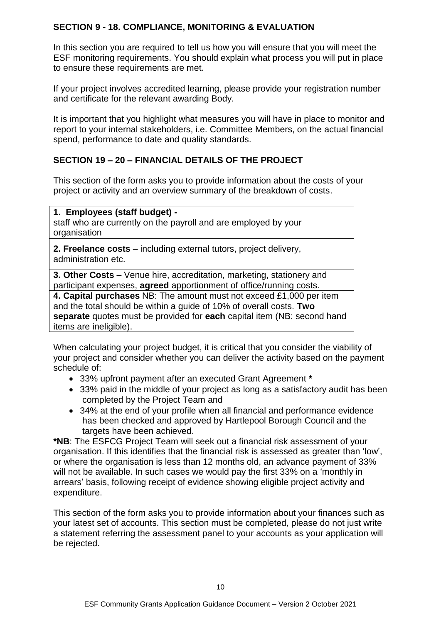# **SECTION 9 - 18. COMPLIANCE, MONITORING & EVALUATION**

In this section you are required to tell us how you will ensure that you will meet the ESF monitoring requirements. You should explain what process you will put in place to ensure these requirements are met.

If your project involves accredited learning, please provide your registration number and certificate for the relevant awarding Body.

It is important that you highlight what measures you will have in place to monitor and report to your internal stakeholders, i.e. Committee Members, on the actual financial spend, performance to date and quality standards.

# **SECTION 19 – 20 – FINANCIAL DETAILS OF THE PROJECT**

This section of the form asks you to provide information about the costs of your project or activity and an overview summary of the breakdown of costs.

#### **1. Employees (staff budget) -**

staff who are currently on the payroll and are employed by your organisation

**2. Freelance costs** – including external tutors, project delivery, administration etc.

**3. Other Costs –** Venue hire, accreditation, marketing, stationery and participant expenses, **agreed** apportionment of office/running costs.

**4. Capital purchases** NB: The amount must not exceed £1,000 per item and the total should be within a guide of 10% of overall costs. **Two separate** quotes must be provided for **each** capital item (NB: second hand items are ineligible).

When calculating your project budget, it is critical that you consider the viability of your project and consider whether you can deliver the activity based on the payment schedule of:

- 33% upfront payment after an executed Grant Agreement **\***
- 33% paid in the middle of your project as long as a satisfactory audit has been completed by the Project Team and
- 34% at the end of your profile when all financial and performance evidence has been checked and approved by Hartlepool Borough Council and the targets have been achieved.

**\*NB**: The ESFCG Project Team will seek out a financial risk assessment of your organisation. If this identifies that the financial risk is assessed as greater than 'low', or where the organisation is less than 12 months old, an advance payment of 33% will not be available. In such cases we would pay the first 33% on a 'monthly in arrears' basis, following receipt of evidence showing eligible project activity and expenditure.

This section of the form asks you to provide information about your finances such as your latest set of accounts. This section must be completed, please do not just write a statement referring the assessment panel to your accounts as your application will be rejected.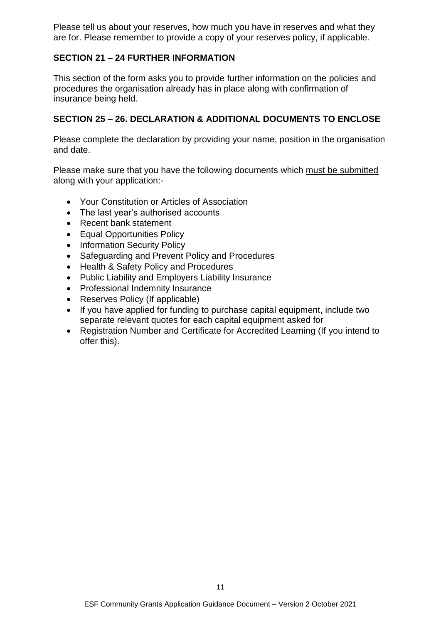Please tell us about your reserves, how much you have in reserves and what they are for. Please remember to provide a copy of your reserves policy, if applicable.

# **SECTION 21 – 24 FURTHER INFORMATION**

This section of the form asks you to provide further information on the policies and procedures the organisation already has in place along with confirmation of insurance being held.

# **SECTION 25 – 26. DECLARATION & ADDITIONAL DOCUMENTS TO ENCLOSE**

Please complete the declaration by providing your name, position in the organisation and date.

Please make sure that you have the following documents which must be submitted along with your application:-

- Your Constitution or Articles of Association
- The last year's authorised accounts
- Recent bank statement
- Equal Opportunities Policy
- Information Security Policy
- Safeguarding and Prevent Policy and Procedures
- Health & Safety Policy and Procedures
- Public Liability and Employers Liability Insurance
- Professional Indemnity Insurance
- Reserves Policy (If applicable)
- If you have applied for funding to purchase capital equipment, include two separate relevant quotes for each capital equipment asked for
- Registration Number and Certificate for Accredited Learning (If you intend to offer this).